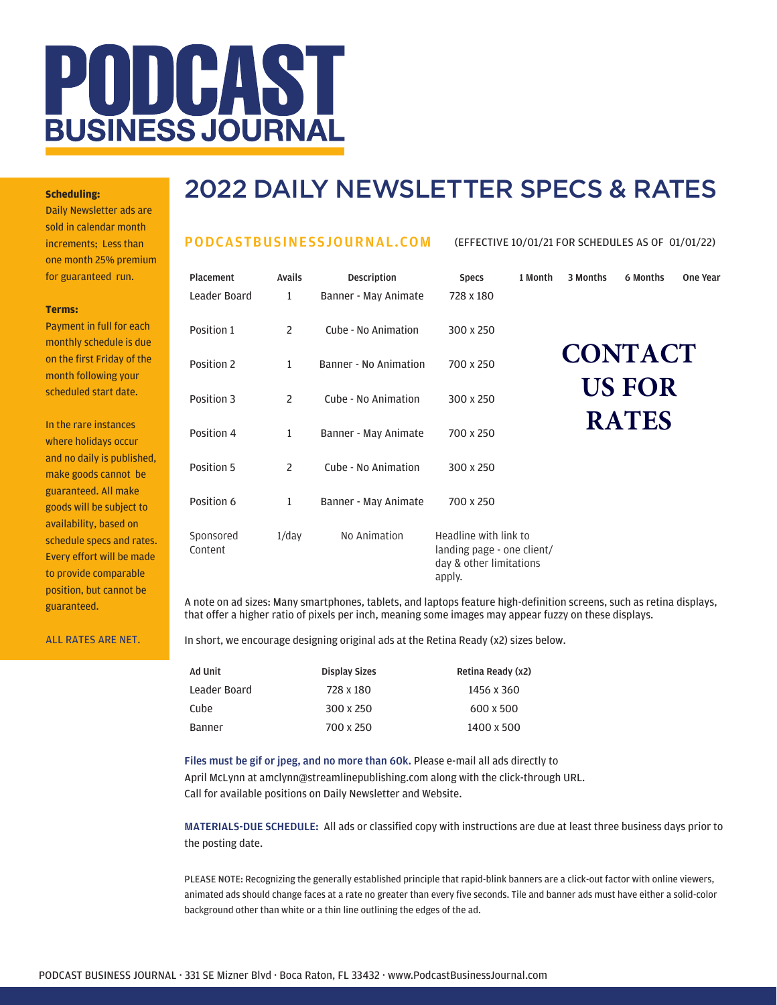

### **Scheduling:**

Daily Newsletter ads are sold in calendar month increments; Less than one month 25% premium for guaranteed run.

#### **Terms:**

Payment in full for each monthly schedule is due on the first Friday of the month following your scheduled start date.

In the rare instances where holidays occur and no daily is published, make goods cannot be guaranteed. All make goods will be subject to availability, based on schedule specs and rates. Every effort will be made to provide comparable position, but cannot be guaranteed.

ALL RATES ARE NET.

## 2022 DAILY NEWSLETTER SPECS & RATES

(EFFECTIVE 10/01/21 FOR SCHEDULES AS OF 01/01/22)

**US FOR**

**RATES**

### PODCASTBUSINESSJOURNAL.COM

Placement Avails Description Specs 1 Month 3 Months 6 Months One Year Leader Board 1 Banner - May Animate 728 x 180 Position 1 2 Cube - No Animation 300 x 250 Position 2 1 Banner - No Animation 700 x 250 Position 3 2 Cube - No Animation 300 x 250 Position 4 1 Banner - May Animate 700 x 250 Position 5 2 Cube - No Animation 300 x 250 Position 6 1 Banner - May Animate 700 x 250 Sponsored Content 1/day Mo Animation Headline with link to landing page - one client/ day & other limitations apply. **CONTACT**

A note on ad sizes: Many smartphones, tablets, and laptops feature high-definition screens, such as retina displays, that offer a higher ratio of pixels per inch, meaning some images may appear fuzzy on these displays.

In short, we encourage designing original ads at the Retina Ready (x2) sizes below.

| Ad Unit      | <b>Display Sizes</b> | Retina Ready (x2) |
|--------------|----------------------|-------------------|
| Leader Board | 728 x 180            | 1456 x 360        |
| Cube         | 300 x 250            | 600 x 500         |
| Banner       | 700 x 250            | 1400 x 500        |

Files must be gif or jpeg, and no more than 60k. Please e-mail all ads directly to April McLynn at amclynn@streamlinepublishing.com along with the click-through URL. Call for available positions on Daily Newsletter and Website.

MATERIALS-DUE SCHEDULE: All ads or classified copy with instructions are due at least three business days prior to the posting date.

PLEASE NOTE: Recognizing the generally established principle that rapid-blink banners are a click-out factor with online viewers, animated ads should change faces at a rate no greater than every five seconds. Tile and banner ads must have either a solid-color background other than white or a thin line outlining the edges of the ad.